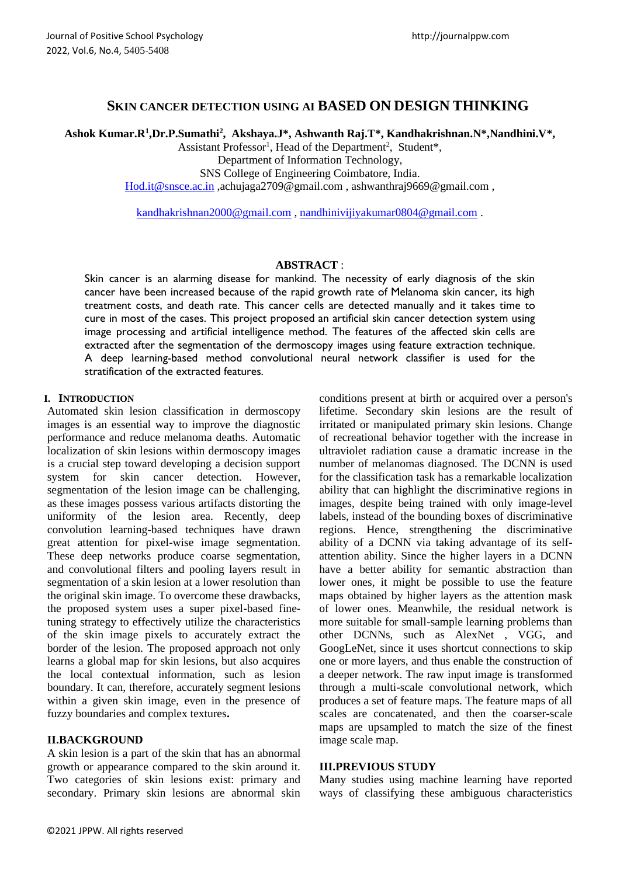# **SKIN CANCER DETECTION USING AI BASED ON DESIGN THINKING**

**Ashok Kumar.R<sup>1</sup> ,Dr.P.Sumathi<sup>2</sup> , Akshaya.J\*, Ashwanth Raj.T\*, Kandhakrishnan.N\*,Nandhini.V\*,**

Assistant Professor<sup>1</sup>, Head of the Department<sup>2</sup>, Student\*,

Department of Information Technology,

SNS College of Engineering Coimbatore, India.

[Hod.it@snsce.ac.in](mailto:Hod.it@snsce.ac.in) ,achujaga2709@gmail.com , ashwanthraj966[9@gmail.com](mailto:aiswaryasequeira98@gmail.com) ,

[kandhakrishnan2000@gmail.com](mailto:kandhakrishnan2000@gmail.com) , [nandhinivijiyakumar0804@gmail.com](mailto:nandhinivijiyakumar0804@gmail.com) .

### **ABSTRACT** :

Skin cancer is an alarming disease for mankind. The necessity of early diagnosis of the skin cancer have been increased because of the rapid growth rate of Melanoma skin cancer, its high treatment costs, and death rate. This cancer cells are detected manually and it takes time to cure in most of the cases. This project proposed an artificial skin cancer detection system using image processing and artificial intelligence method. The features of the affected skin cells are extracted after the segmentation of the dermoscopy images using feature extraction technique. A deep learning-based method convolutional neural network classifier is used for the stratification of the extracted features.

### **I. INTRODUCTION**

Automated skin lesion classification in dermoscopy images is an essential way to improve the diagnostic performance and reduce melanoma deaths. Automatic localization of skin lesions within dermoscopy images is a crucial step toward developing a decision support system for skin cancer detection. However, segmentation of the lesion image can be challenging, as these images possess various artifacts distorting the uniformity of the lesion area. Recently, deep convolution learning-based techniques have drawn great attention for pixel-wise image segmentation. These deep networks produce coarse segmentation, and convolutional filters and pooling layers result in segmentation of a skin lesion at a lower resolution than the original skin image. To overcome these drawbacks, the proposed system uses a super pixel-based finetuning strategy to effectively utilize the characteristics of the skin image pixels to accurately extract the border of the lesion. The proposed approach not only learns a global map for skin lesions, but also acquires the local contextual information, such as lesion boundary. It can, therefore, accurately segment lesions within a given skin image, even in the presence of fuzzy boundaries and complex textures**.**

## **II.BACKGROUND**

A skin lesion is a part of the skin that has an abnormal growth or appearance compared to the skin around it. Two categories of skin lesions exist: primary and secondary. Primary skin lesions are abnormal skin conditions present at birth or acquired over a person's lifetime. Secondary skin lesions are the result of irritated or manipulated primary skin lesions. Change of recreational behavior together with the increase in ultraviolet radiation cause a dramatic increase in the number of melanomas diagnosed. The DCNN is used for the classification task has a remarkable localization ability that can highlight the discriminative regions in images, despite being trained with only image-level labels, instead of the bounding boxes of discriminative regions. Hence, strengthening the discriminative ability of a DCNN via taking advantage of its selfattention ability. Since the higher layers in a DCNN have a better ability for semantic abstraction than lower ones, it might be possible to use the feature maps obtained by higher layers as the attention mask of lower ones. Meanwhile, the residual network is more suitable for small-sample learning problems than other DCNNs, such as AlexNet , VGG, and GoogLeNet, since it uses shortcut connections to skip one or more layers, and thus enable the construction of a deeper network. The raw input image is transformed through a multi-scale convolutional network, which produces a set of feature maps. The feature maps of all scales are concatenated, and then the coarser-scale maps are upsampled to match the size of the finest image scale map.

### **III.PREVIOUS STUDY**

Many studies using machine learning have reported ways of classifying these ambiguous characteristics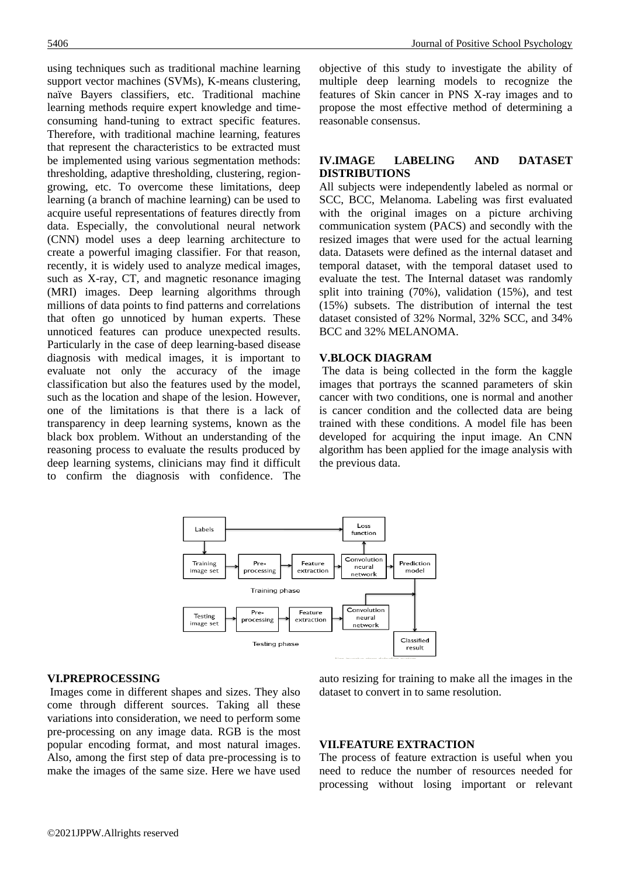using techniques such as traditional machine learning support vector machines (SVMs), K-means clustering, naïve Bayers classifiers, etc. Traditional machine learning methods require expert knowledge and timeconsuming hand-tuning to extract specific features. Therefore, with traditional machine learning, features that represent the characteristics to be extracted must be implemented using various segmentation methods: thresholding, adaptive thresholding, clustering, regiongrowing, etc. To overcome these limitations, deep learning (a branch of machine learning) can be used to acquire useful representations of features directly from data. Especially, the convolutional neural network (CNN) model uses a deep learning architecture to create a powerful imaging classifier. For that reason, recently, it is widely used to analyze medical images, such as X-ray, CT, and magnetic resonance imaging (MRI) images. Deep learning algorithms through millions of data points to find patterns and correlations that often go unnoticed by human experts. These unnoticed features can produce unexpected results. Particularly in the case of deep learning-based disease diagnosis with medical images, it is important to evaluate not only the accuracy of the image classification but also the features used by the model, such as the location and shape of the lesion. However, one of the limitations is that there is a lack of transparency in deep learning systems, known as the black box problem. Without an understanding of the reasoning process to evaluate the results produced by deep learning systems, clinicians may find it difficult to confirm the diagnosis with confidence. The objective of this study to investigate the ability of multiple deep learning models to recognize the features of Skin cancer in PNS X-ray images and to propose the most effective method of determining a reasonable consensus.

# **IV.IMAGE LABELING AND DATASET DISTRIBUTIONS**

All subjects were independently labeled as normal or SCC, BCC, Melanoma. Labeling was first evaluated with the original images on a picture archiving communication system (PACS) and secondly with the resized images that were used for the actual learning data. Datasets were defined as the internal dataset and temporal dataset, with the temporal dataset used to evaluate the test. The Internal dataset was randomly split into training (70%), validation (15%), and test (15%) subsets. The distribution of internal the test dataset consisted of 32% Normal, 32% SCC, and 34% BCC and 32% MELANOMA.

### **V.BLOCK DIAGRAM**

The data is being collected in the form the kaggle images that portrays the scanned parameters of skin cancer with two conditions, one is normal and another is cancer condition and the collected data are being trained with these conditions. A model file has been developed for acquiring the input image. An CNN algorithm has been applied for the image analysis with the previous data.



#### **VI.PREPROCESSING**

Images come in different shapes and sizes. They also come through different sources. Taking all these variations into consideration, we need to perform some pre-processing on any image data. RGB is the most popular encoding format, and most natural images. Also, among the first step of data pre-processing is to make the images of the same size. Here we have used auto resizing for training to make all the images in the dataset to convert in to same resolution.

### **VII.FEATURE EXTRACTION**

The process of feature extraction is useful when you need to reduce the number of resources needed for processing without losing important or relevant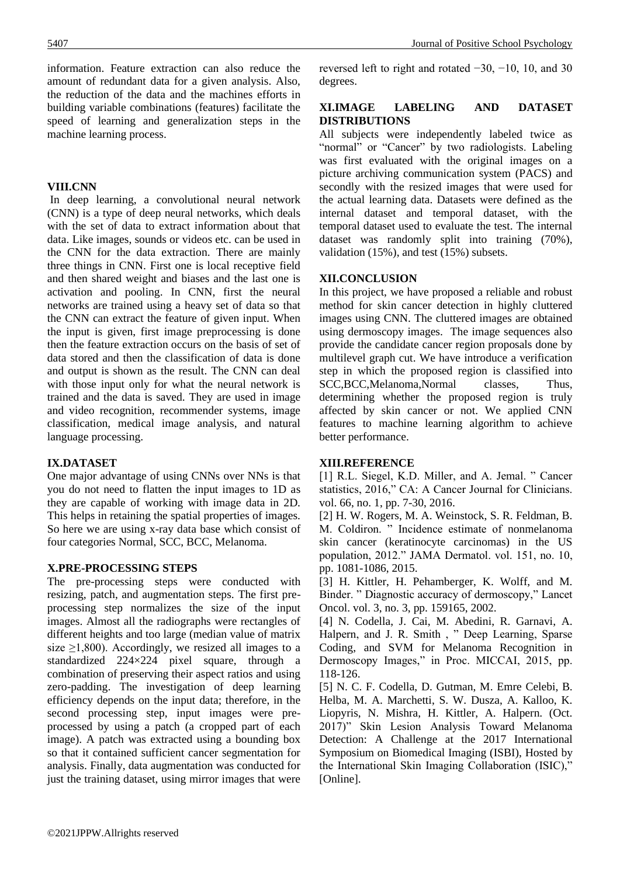information. Feature extraction can also reduce the amount of redundant data for a given analysis. Also, the reduction of the data and the machines efforts in building variable combinations (features) facilitate the speed of learning and generalization steps in the machine learning process.

### **VIII.CNN**

In deep learning, a convolutional neural network (CNN) is a type of deep neural networks, which deals with the set of data to extract information about that data. Like images, sounds or videos etc. can be used in the CNN for the data extraction. There are mainly three things in CNN. First one is local receptive field and then shared weight and biases and the last one is activation and pooling. In CNN, first the neural networks are trained using a heavy set of data so that the CNN can extract the feature of given input. When the input is given, first image preprocessing is done then the feature extraction occurs on the basis of set of data stored and then the classification of data is done and output is shown as the result. The CNN can deal with those input only for what the neural network is trained and the data is saved. They are used in image and video recognition, recommender systems, image classification, medical image analysis, and natural language processing.

## **IX.DATASET**

One major advantage of using CNNs over NNs is that you do not need to flatten the input images to 1D as they are capable of working with image data in 2D. This helps in retaining the spatial properties of images. So here we are using x-ray data base which consist of four categories Normal, SCC, BCC, Melanoma.

## **X.PRE-PROCESSING STEPS**

The pre-processing steps were conducted with resizing, patch, and augmentation steps. The first preprocessing step normalizes the size of the input images. Almost all the radiographs were rectangles of different heights and too large (median value of matrix size  $\geq$ 1,800). Accordingly, we resized all images to a standardized 224×224 pixel square, through a combination of preserving their aspect ratios and using zero-padding. The investigation of deep learning efficiency depends on the input data; therefore, in the second processing step, input images were preprocessed by using a patch (a cropped part of each image). A patch was extracted using a bounding box so that it contained sufficient cancer segmentation for analysis. Finally, data augmentation was conducted for just the training dataset, using mirror images that were

reversed left to right and rotated −30, −10, 10, and 30 degrees.

### **XI.IMAGE LABELING AND DATASET DISTRIBUTIONS**

All subjects were independently labeled twice as "normal" or "Cancer" by two radiologists. Labeling was first evaluated with the original images on a picture archiving communication system (PACS) and secondly with the resized images that were used for the actual learning data. Datasets were defined as the internal dataset and temporal dataset, with the temporal dataset used to evaluate the test. The internal dataset was randomly split into training (70%), validation (15%), and test (15%) subsets.

### **XII.CONCLUSION**

In this project, we have proposed a reliable and robust method for skin cancer detection in highly cluttered images using CNN. The cluttered images are obtained using dermoscopy images. The image sequences also provide the candidate cancer region proposals done by multilevel graph cut. We have introduce a verification step in which the proposed region is classified into SCC,BCC,Melanoma,Normal classes, Thus, determining whether the proposed region is truly affected by skin cancer or not. We applied CNN features to machine learning algorithm to achieve better performance.

#### **XIII.REFERENCE**

[1] R.L. Siegel, K.D. Miller, and A. Jemal. " Cancer statistics, 2016," CA: A Cancer Journal for Clinicians. vol. 66, no. 1, pp. 7-30, 2016.

[2] H. W. Rogers, M. A. Weinstock, S. R. Feldman, B. M. Coldiron. " Incidence estimate of nonmelanoma skin cancer (keratinocyte carcinomas) in the US population, 2012." JAMA Dermatol. vol. 151, no. 10, pp. 1081-1086, 2015.

[3] H. Kittler, H. Pehamberger, K. Wolff, and M. Binder. " Diagnostic accuracy of dermoscopy," Lancet Oncol. vol. 3, no. 3, pp. 159165, 2002.

[4] N. Codella, J. Cai, M. Abedini, R. Garnavi, A. Halpern, and J. R. Smith , " Deep Learning, Sparse Coding, and SVM for Melanoma Recognition in Dermoscopy Images," in Proc. MICCAI, 2015, pp. 118-126.

[5] N. C. F. Codella, D. Gutman, M. Emre Celebi, B. Helba, M. A. Marchetti, S. W. Dusza, A. Kalloo, K. Liopyris, N. Mishra, H. Kittler, A. Halpern. (Oct. 2017)" Skin Lesion Analysis Toward Melanoma Detection: A Challenge at the 2017 International Symposium on Biomedical Imaging (ISBI), Hosted by the International Skin Imaging Collaboration (ISIC)," [Online].